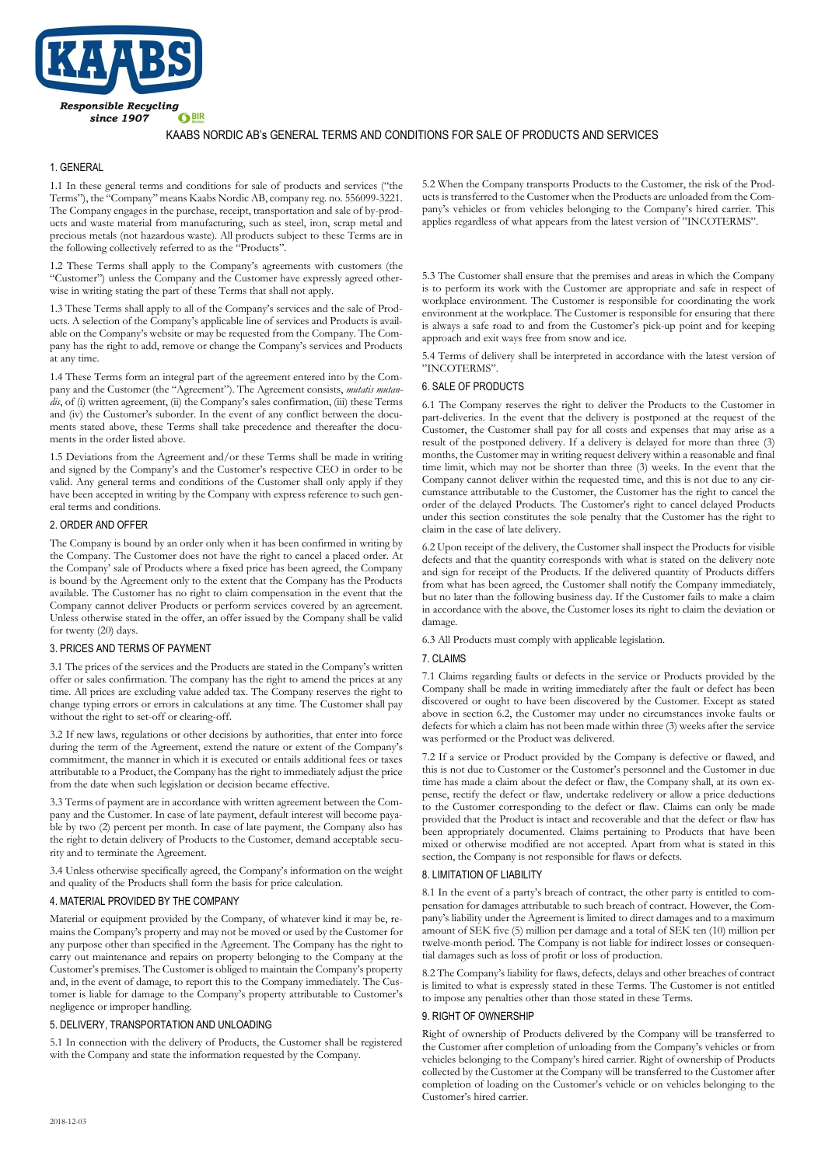

# KAABS NORDIC AB's GENERAL TERMS AND CONDITIONS FOR SALE OF PRODUCTS AND SERVICES

# 1. GENERAL

1.1 In these general terms and conditions for sale of products and services ("the Terms"), the "Company" means Kaabs Nordic AB, company reg. no. 556099-3221. The Company engages in the purchase, receipt, transportation and sale of by-products and waste material from manufacturing, such as steel, iron, scrap metal and precious metals (not hazardous waste). All products subject to these Terms are in the following collectively referred to as the "Products".

1.2 These Terms shall apply to the Company's agreements with customers (the "Customer") unless the Company and the Customer have expressly agreed otherwise in writing stating the part of these Terms that shall not apply.

1.3 These Terms shall apply to all of the Company's services and the sale of Products. A selection of the Company's applicable line of services and Products is available on the Company's website or may be requested from the Company. The Company has the right to add, remove or change the Company's services and Products at any time.

1.4 These Terms form an integral part of the agreement entered into by the Company and the Customer (the "Agreement"). The Agreement consists, *mutatis mutandis*, of (i) written agreement, (ii) the Company's sales confirmation, (iii) these Terms and (iv) the Customer's suborder. In the event of any conflict between the documents stated above, these Terms shall take precedence and thereafter the documents in the order listed above.

1.5 Deviations from the Agreement and/or these Terms shall be made in writing and signed by the Company's and the Customer's respective CEO in order to be valid. Any general terms and conditions of the Customer shall only apply if they have been accepted in writing by the Company with express reference to such general terms and conditions.

## 2. ORDER AND OFFER

The Company is bound by an order only when it has been confirmed in writing by the Company. The Customer does not have the right to cancel a placed order. At the Company' sale of Products where a fixed price has been agreed, the Company is bound by the Agreement only to the extent that the Company has the Products available. The Customer has no right to claim compensation in the event that the Company cannot deliver Products or perform services covered by an agreement. Unless otherwise stated in the offer, an offer issued by the Company shall be valid for twenty (20) days.

#### 3. PRICES AND TERMS OF PAYMENT

3.1 The prices of the services and the Products are stated in the Company's written offer or sales confirmation. The company has the right to amend the prices at any time. All prices are excluding value added tax. The Company reserves the right to change typing errors or errors in calculations at any time. The Customer shall pay without the right to set-off or clearing-off.

3.2 If new laws, regulations or other decisions by authorities, that enter into force during the term of the Agreement, extend the nature or extent of the Company's commitment, the manner in which it is executed or entails additional fees or taxes attributable to a Product, the Company has the right to immediately adjust the price from the date when such legislation or decision became effective.

3.3 Terms of payment are in accordance with written agreement between the Company and the Customer. In case of late payment, default interest will become payable by two (2) percent per month. In case of late payment, the Company also has the right to detain delivery of Products to the Customer, demand acceptable security and to terminate the Agreement.

3.4 Unless otherwise specifically agreed, the Company's information on the weight and quality of the Products shall form the basis for price calculation.

# 4. MATERIAL PROVIDED BY THE COMPANY

Material or equipment provided by the Company, of whatever kind it may be, remains the Company's property and may not be moved or used by the Customer for any purpose other than specified in the Agreement. The Company has the right to carry out maintenance and repairs on property belonging to the Company at the Customer's premises. The Customer is obliged to maintain the Company's property and, in the event of damage, to report this to the Company immediately. The Customer is liable for damage to the Company's property attributable to Customer's negligence or improper handling.

# 5. DELIVERY, TRANSPORTATION AND UNLOADING

5.1 In connection with the delivery of Products, the Customer shall be registered with the Company and state the information requested by the Company.

5.2 When the Company transports Products to the Customer, the risk of the Products is transferred to the Customer when the Products are unloaded from the Company's vehicles or from vehicles belonging to the Company's hired carrier. This applies regardless of what appears from the latest version of "INCOTERMS".

5.3 The Customer shall ensure that the premises and areas in which the Company is to perform its work with the Customer are appropriate and safe in respect of workplace environment. The Customer is responsible for coordinating the work environment at the workplace. The Customer is responsible for ensuring that there is always a safe road to and from the Customer's pick-up point and for keeping approach and exit ways free from snow and ice.

5.4 Terms of delivery shall be interpreted in accordance with the latest version of "INCOTERMS".

#### 6. SALE OF PRODUCTS

6.1 The Company reserves the right to deliver the Products to the Customer in part-deliveries. In the event that the delivery is postponed at the request of the Customer, the Customer shall pay for all costs and expenses that may arise as a result of the postponed delivery. If a delivery is delayed for more than three (3) months, the Customer may in writing request delivery within a reasonable and final time limit, which may not be shorter than three (3) weeks. In the event that the Company cannot deliver within the requested time, and this is not due to any circumstance attributable to the Customer, the Customer has the right to cancel the order of the delayed Products. The Customer's right to cancel delayed Products under this section constitutes the sole penalty that the Customer has the right to claim in the case of late delivery.

6.2 Upon receipt of the delivery, the Customer shall inspect the Products for visible defects and that the quantity corresponds with what is stated on the delivery note and sign for receipt of the Products. If the delivered quantity of Products differs from what has been agreed, the Customer shall notify the Company immediately, but no later than the following business day. If the Customer fails to make a claim in accordance with the above, the Customer loses its right to claim the deviation or damage.

6.3 All Products must comply with applicable legislation.

# 7. CLAIMS

7.1 Claims regarding faults or defects in the service or Products provided by the Company shall be made in writing immediately after the fault or defect has been discovered or ought to have been discovered by the Customer. Except as stated above in section 6.2, the Customer may under no circumstances invoke faults or defects for which a claim has not been made within three (3) weeks after the service was performed or the Product was delivered.

7.2 If a service or Product provided by the Company is defective or flawed, and this is not due to Customer or the Customer's personnel and the Customer in due time has made a claim about the defect or flaw, the Company shall, at its own expense, rectify the defect or flaw, undertake redelivery or allow a price deductions to the Customer corresponding to the defect or flaw. Claims can only be made provided that the Product is intact and recoverable and that the defect or flaw has been appropriately documented. Claims pertaining to Products that have been mixed or otherwise modified are not accepted. Apart from what is stated in this section, the Company is not responsible for flaws or defects.

#### 8. LIMITATION OF LIABILITY

8.1 In the event of a party's breach of contract, the other party is entitled to compensation for damages attributable to such breach of contract. However, the Company's liability under the Agreement is limited to direct damages and to a maximum amount of SEK five (5) million per damage and a total of SEK ten (10) million per twelve-month period. The Company is not liable for indirect losses or consequential damages such as loss of profit or loss of production.

8.2 The Company's liability for flaws, defects, delays and other breaches of contract is limited to what is expressly stated in these Terms. The Customer is not entitled to impose any penalties other than those stated in these Terms.

#### 9. RIGHT OF OWNERSHIP

Right of ownership of Products delivered by the Company will be transferred to the Customer after completion of unloading from the Company's vehicles or from vehicles belonging to the Company's hired carrier. Right of ownership of Products collected by the Customer at the Company will be transferred to the Customer after completion of loading on the Customer's vehicle or on vehicles belonging to the Customer's hired carrier.